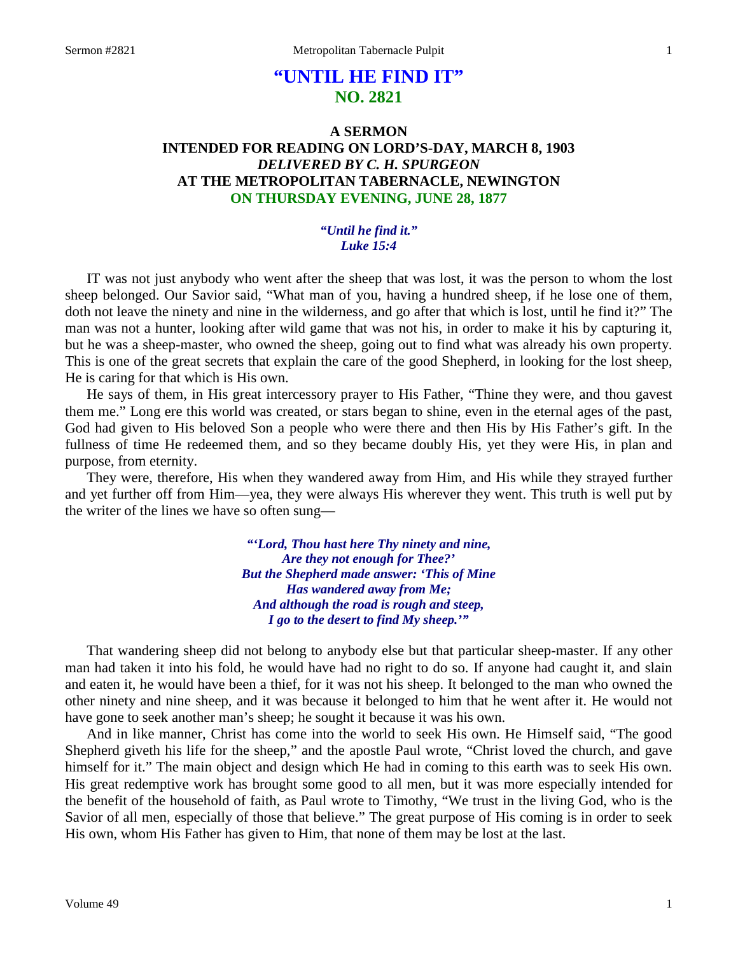# **"UNTIL HE FIND IT" NO. 2821**

# **A SERMON INTENDED FOR READING ON LORD'S-DAY, MARCH 8, 1903** *DELIVERED BY C. H. SPURGEON* **AT THE METROPOLITAN TABERNACLE, NEWINGTON ON THURSDAY EVENING, JUNE 28, 1877**

#### *"Until he find it." Luke 15:4*

IT was not just anybody who went after the sheep that was lost, it was the person to whom the lost sheep belonged. Our Savior said, "What man of you, having a hundred sheep, if he lose one of them, doth not leave the ninety and nine in the wilderness, and go after that which is lost, until he find it?" The man was not a hunter, looking after wild game that was not his, in order to make it his by capturing it, but he was a sheep-master, who owned the sheep, going out to find what was already his own property. This is one of the great secrets that explain the care of the good Shepherd, in looking for the lost sheep, He is caring for that which is His own.

He says of them, in His great intercessory prayer to His Father, "Thine they were, and thou gavest them me." Long ere this world was created, or stars began to shine, even in the eternal ages of the past, God had given to His beloved Son a people who were there and then His by His Father's gift. In the fullness of time He redeemed them, and so they became doubly His, yet they were His, in plan and purpose, from eternity.

They were, therefore, His when they wandered away from Him, and His while they strayed further and yet further off from Him—yea, they were always His wherever they went. This truth is well put by the writer of the lines we have so often sung—

> *"'Lord, Thou hast here Thy ninety and nine, Are they not enough for Thee?' But the Shepherd made answer: 'This of Mine Has wandered away from Me; And although the road is rough and steep, I go to the desert to find My sheep.'"*

That wandering sheep did not belong to anybody else but that particular sheep-master. If any other man had taken it into his fold, he would have had no right to do so. If anyone had caught it, and slain and eaten it, he would have been a thief, for it was not his sheep. It belonged to the man who owned the other ninety and nine sheep, and it was because it belonged to him that he went after it. He would not have gone to seek another man's sheep; he sought it because it was his own.

And in like manner, Christ has come into the world to seek His own. He Himself said, "The good Shepherd giveth his life for the sheep," and the apostle Paul wrote, "Christ loved the church, and gave himself for it." The main object and design which He had in coming to this earth was to seek His own. His great redemptive work has brought some good to all men, but it was more especially intended for the benefit of the household of faith, as Paul wrote to Timothy, "We trust in the living God, who is the Savior of all men, especially of those that believe." The great purpose of His coming is in order to seek His own, whom His Father has given to Him, that none of them may be lost at the last.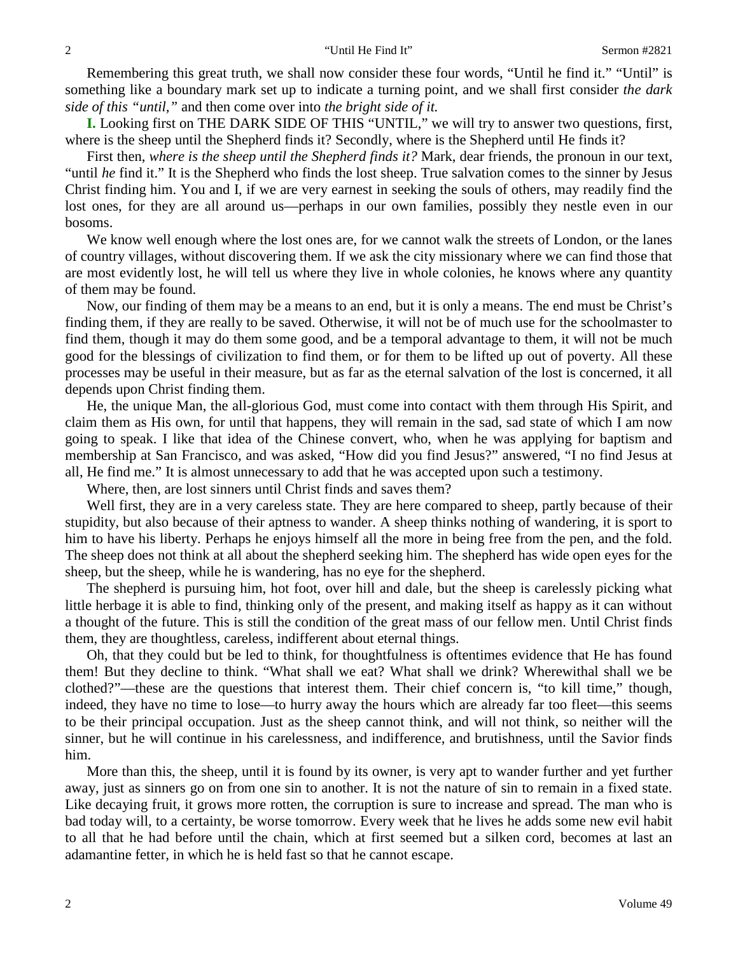Remembering this great truth, we shall now consider these four words, "Until he find it." "Until" is something like a boundary mark set up to indicate a turning point, and we shall first consider *the dark side of this "until,"* and then come over into *the bright side of it.* 

**I.** Looking first on THE DARK SIDE OF THIS "UNTIL," we will try to answer two questions, first, where is the sheep until the Shepherd finds it? Secondly, where is the Shepherd until He finds it?

First then, *where is the sheep until the Shepherd finds it?* Mark, dear friends, the pronoun in our text, "until *he* find it." It is the Shepherd who finds the lost sheep. True salvation comes to the sinner by Jesus Christ finding him. You and I, if we are very earnest in seeking the souls of others, may readily find the lost ones, for they are all around us—perhaps in our own families, possibly they nestle even in our bosoms.

We know well enough where the lost ones are, for we cannot walk the streets of London, or the lanes of country villages, without discovering them. If we ask the city missionary where we can find those that are most evidently lost, he will tell us where they live in whole colonies, he knows where any quantity of them may be found.

Now, our finding of them may be a means to an end, but it is only a means. The end must be Christ's finding them, if they are really to be saved. Otherwise, it will not be of much use for the schoolmaster to find them, though it may do them some good, and be a temporal advantage to them, it will not be much good for the blessings of civilization to find them, or for them to be lifted up out of poverty. All these processes may be useful in their measure, but as far as the eternal salvation of the lost is concerned, it all depends upon Christ finding them.

He, the unique Man, the all-glorious God, must come into contact with them through His Spirit, and claim them as His own, for until that happens, they will remain in the sad, sad state of which I am now going to speak. I like that idea of the Chinese convert, who, when he was applying for baptism and membership at San Francisco, and was asked, "How did you find Jesus?" answered, "I no find Jesus at all, He find me." It is almost unnecessary to add that he was accepted upon such a testimony.

Where, then, are lost sinners until Christ finds and saves them?

Well first, they are in a very careless state. They are here compared to sheep, partly because of their stupidity, but also because of their aptness to wander. A sheep thinks nothing of wandering, it is sport to him to have his liberty. Perhaps he enjoys himself all the more in being free from the pen, and the fold. The sheep does not think at all about the shepherd seeking him. The shepherd has wide open eyes for the sheep, but the sheep, while he is wandering, has no eye for the shepherd.

The shepherd is pursuing him, hot foot, over hill and dale, but the sheep is carelessly picking what little herbage it is able to find, thinking only of the present, and making itself as happy as it can without a thought of the future. This is still the condition of the great mass of our fellow men. Until Christ finds them, they are thoughtless, careless, indifferent about eternal things.

Oh, that they could but be led to think, for thoughtfulness is oftentimes evidence that He has found them! But they decline to think. "What shall we eat? What shall we drink? Wherewithal shall we be clothed?"—these are the questions that interest them. Their chief concern is, "to kill time," though, indeed, they have no time to lose—to hurry away the hours which are already far too fleet—this seems to be their principal occupation. Just as the sheep cannot think, and will not think, so neither will the sinner, but he will continue in his carelessness, and indifference, and brutishness, until the Savior finds him.

More than this, the sheep, until it is found by its owner, is very apt to wander further and yet further away, just as sinners go on from one sin to another. It is not the nature of sin to remain in a fixed state. Like decaying fruit, it grows more rotten, the corruption is sure to increase and spread. The man who is bad today will, to a certainty, be worse tomorrow. Every week that he lives he adds some new evil habit to all that he had before until the chain, which at first seemed but a silken cord, becomes at last an adamantine fetter, in which he is held fast so that he cannot escape.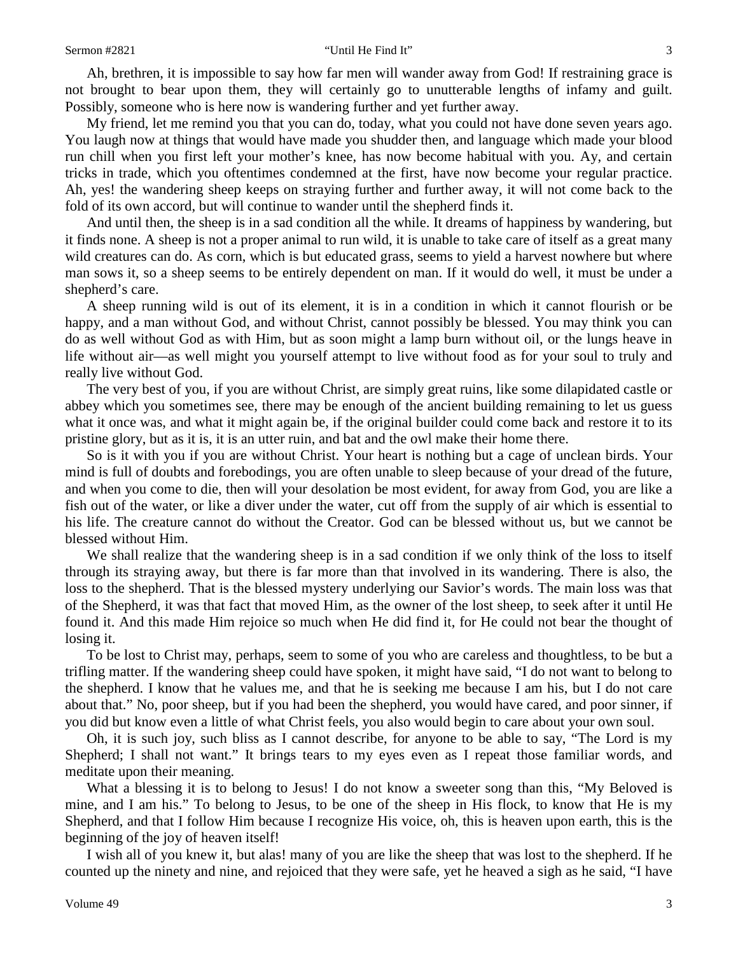Ah, brethren, it is impossible to say how far men will wander away from God! If restraining grace is not brought to bear upon them, they will certainly go to unutterable lengths of infamy and guilt. Possibly, someone who is here now is wandering further and yet further away.

My friend, let me remind you that you can do, today, what you could not have done seven years ago. You laugh now at things that would have made you shudder then, and language which made your blood run chill when you first left your mother's knee, has now become habitual with you. Ay, and certain tricks in trade, which you oftentimes condemned at the first, have now become your regular practice. Ah, yes! the wandering sheep keeps on straying further and further away, it will not come back to the fold of its own accord, but will continue to wander until the shepherd finds it.

And until then, the sheep is in a sad condition all the while. It dreams of happiness by wandering, but it finds none. A sheep is not a proper animal to run wild, it is unable to take care of itself as a great many wild creatures can do. As corn, which is but educated grass, seems to yield a harvest nowhere but where man sows it, so a sheep seems to be entirely dependent on man. If it would do well, it must be under a shepherd's care.

A sheep running wild is out of its element, it is in a condition in which it cannot flourish or be happy, and a man without God, and without Christ, cannot possibly be blessed. You may think you can do as well without God as with Him, but as soon might a lamp burn without oil, or the lungs heave in life without air—as well might you yourself attempt to live without food as for your soul to truly and really live without God.

The very best of you, if you are without Christ, are simply great ruins, like some dilapidated castle or abbey which you sometimes see, there may be enough of the ancient building remaining to let us guess what it once was, and what it might again be, if the original builder could come back and restore it to its pristine glory, but as it is, it is an utter ruin, and bat and the owl make their home there.

So is it with you if you are without Christ. Your heart is nothing but a cage of unclean birds. Your mind is full of doubts and forebodings, you are often unable to sleep because of your dread of the future, and when you come to die, then will your desolation be most evident, for away from God, you are like a fish out of the water, or like a diver under the water, cut off from the supply of air which is essential to his life. The creature cannot do without the Creator. God can be blessed without us, but we cannot be blessed without Him.

We shall realize that the wandering sheep is in a sad condition if we only think of the loss to itself through its straying away, but there is far more than that involved in its wandering. There is also, the loss to the shepherd. That is the blessed mystery underlying our Savior's words. The main loss was that of the Shepherd, it was that fact that moved Him, as the owner of the lost sheep, to seek after it until He found it. And this made Him rejoice so much when He did find it, for He could not bear the thought of losing it.

To be lost to Christ may, perhaps, seem to some of you who are careless and thoughtless, to be but a trifling matter. If the wandering sheep could have spoken, it might have said, "I do not want to belong to the shepherd. I know that he values me, and that he is seeking me because I am his, but I do not care about that." No, poor sheep, but if you had been the shepherd, you would have cared, and poor sinner, if you did but know even a little of what Christ feels, you also would begin to care about your own soul.

Oh, it is such joy, such bliss as I cannot describe, for anyone to be able to say, "The Lord is my Shepherd; I shall not want." It brings tears to my eyes even as I repeat those familiar words, and meditate upon their meaning.

What a blessing it is to belong to Jesus! I do not know a sweeter song than this, "My Beloved is mine, and I am his." To belong to Jesus, to be one of the sheep in His flock, to know that He is my Shepherd, and that I follow Him because I recognize His voice, oh, this is heaven upon earth, this is the beginning of the joy of heaven itself!

I wish all of you knew it, but alas! many of you are like the sheep that was lost to the shepherd. If he counted up the ninety and nine, and rejoiced that they were safe, yet he heaved a sigh as he said, "I have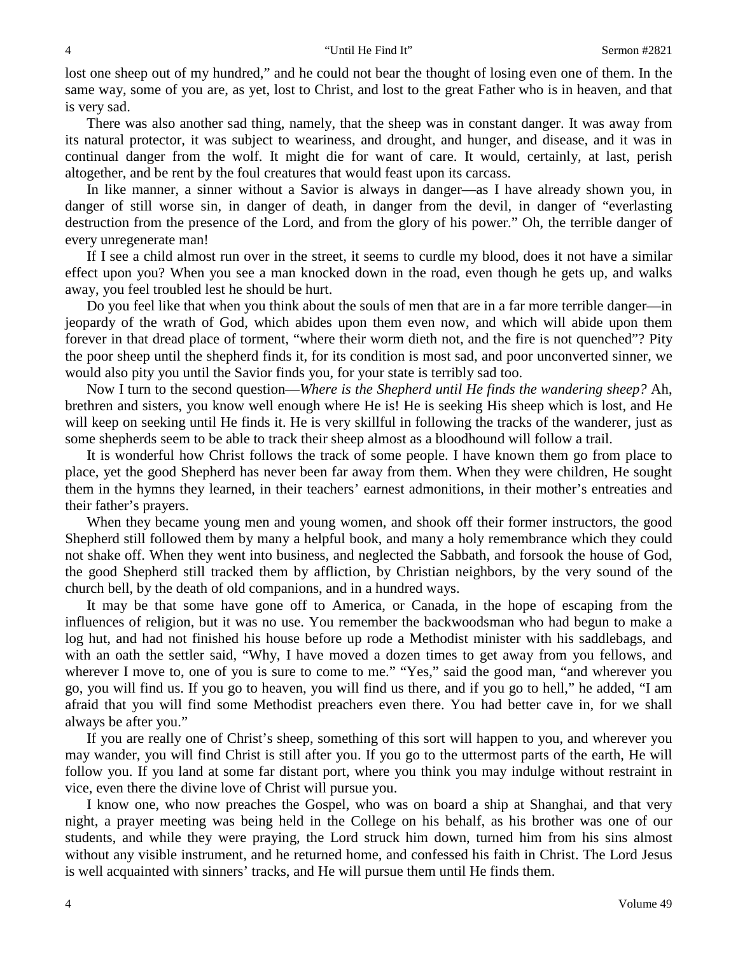lost one sheep out of my hundred," and he could not bear the thought of losing even one of them. In the same way, some of you are, as yet, lost to Christ, and lost to the great Father who is in heaven, and that is very sad.

There was also another sad thing, namely, that the sheep was in constant danger. It was away from its natural protector, it was subject to weariness, and drought, and hunger, and disease, and it was in continual danger from the wolf. It might die for want of care. It would, certainly, at last, perish altogether, and be rent by the foul creatures that would feast upon its carcass.

In like manner, a sinner without a Savior is always in danger—as I have already shown you, in danger of still worse sin, in danger of death, in danger from the devil, in danger of "everlasting destruction from the presence of the Lord, and from the glory of his power." Oh, the terrible danger of every unregenerate man!

If I see a child almost run over in the street, it seems to curdle my blood, does it not have a similar effect upon you? When you see a man knocked down in the road, even though he gets up, and walks away, you feel troubled lest he should be hurt.

Do you feel like that when you think about the souls of men that are in a far more terrible danger—in jeopardy of the wrath of God, which abides upon them even now, and which will abide upon them forever in that dread place of torment, "where their worm dieth not, and the fire is not quenched"? Pity the poor sheep until the shepherd finds it, for its condition is most sad, and poor unconverted sinner, we would also pity you until the Savior finds you, for your state is terribly sad too.

Now I turn to the second question—*Where is the Shepherd until He finds the wandering sheep?* Ah, brethren and sisters, you know well enough where He is! He is seeking His sheep which is lost, and He will keep on seeking until He finds it. He is very skillful in following the tracks of the wanderer, just as some shepherds seem to be able to track their sheep almost as a bloodhound will follow a trail.

It is wonderful how Christ follows the track of some people. I have known them go from place to place, yet the good Shepherd has never been far away from them. When they were children, He sought them in the hymns they learned, in their teachers' earnest admonitions, in their mother's entreaties and their father's prayers.

When they became young men and young women, and shook off their former instructors, the good Shepherd still followed them by many a helpful book, and many a holy remembrance which they could not shake off. When they went into business, and neglected the Sabbath, and forsook the house of God, the good Shepherd still tracked them by affliction, by Christian neighbors, by the very sound of the church bell, by the death of old companions, and in a hundred ways.

It may be that some have gone off to America, or Canada, in the hope of escaping from the influences of religion, but it was no use. You remember the backwoodsman who had begun to make a log hut, and had not finished his house before up rode a Methodist minister with his saddlebags, and with an oath the settler said, "Why, I have moved a dozen times to get away from you fellows, and wherever I move to, one of you is sure to come to me." "Yes," said the good man, "and wherever you go, you will find us. If you go to heaven, you will find us there, and if you go to hell," he added, "I am afraid that you will find some Methodist preachers even there. You had better cave in, for we shall always be after you."

If you are really one of Christ's sheep, something of this sort will happen to you, and wherever you may wander, you will find Christ is still after you. If you go to the uttermost parts of the earth, He will follow you. If you land at some far distant port, where you think you may indulge without restraint in vice, even there the divine love of Christ will pursue you.

I know one, who now preaches the Gospel, who was on board a ship at Shanghai, and that very night, a prayer meeting was being held in the College on his behalf, as his brother was one of our students, and while they were praying, the Lord struck him down, turned him from his sins almost without any visible instrument, and he returned home, and confessed his faith in Christ. The Lord Jesus is well acquainted with sinners' tracks, and He will pursue them until He finds them.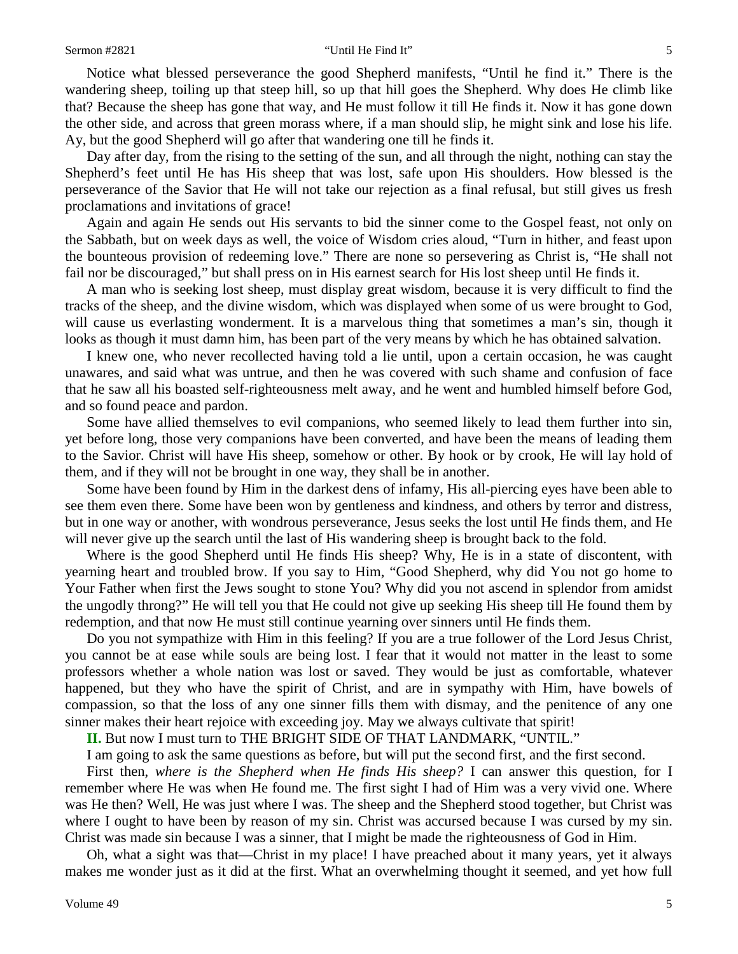Notice what blessed perseverance the good Shepherd manifests, "Until he find it." There is the wandering sheep, toiling up that steep hill, so up that hill goes the Shepherd. Why does He climb like that? Because the sheep has gone that way, and He must follow it till He finds it. Now it has gone down the other side, and across that green morass where, if a man should slip, he might sink and lose his life. Ay, but the good Shepherd will go after that wandering one till he finds it.

Day after day, from the rising to the setting of the sun, and all through the night, nothing can stay the Shepherd's feet until He has His sheep that was lost, safe upon His shoulders. How blessed is the perseverance of the Savior that He will not take our rejection as a final refusal, but still gives us fresh proclamations and invitations of grace!

Again and again He sends out His servants to bid the sinner come to the Gospel feast, not only on the Sabbath, but on week days as well, the voice of Wisdom cries aloud, "Turn in hither, and feast upon the bounteous provision of redeeming love." There are none so persevering as Christ is, "He shall not fail nor be discouraged," but shall press on in His earnest search for His lost sheep until He finds it.

A man who is seeking lost sheep, must display great wisdom, because it is very difficult to find the tracks of the sheep, and the divine wisdom, which was displayed when some of us were brought to God, will cause us everlasting wonderment. It is a marvelous thing that sometimes a man's sin, though it looks as though it must damn him, has been part of the very means by which he has obtained salvation.

I knew one, who never recollected having told a lie until, upon a certain occasion, he was caught unawares, and said what was untrue, and then he was covered with such shame and confusion of face that he saw all his boasted self-righteousness melt away, and he went and humbled himself before God, and so found peace and pardon.

Some have allied themselves to evil companions, who seemed likely to lead them further into sin, yet before long, those very companions have been converted, and have been the means of leading them to the Savior. Christ will have His sheep, somehow or other. By hook or by crook, He will lay hold of them, and if they will not be brought in one way, they shall be in another.

Some have been found by Him in the darkest dens of infamy, His all-piercing eyes have been able to see them even there. Some have been won by gentleness and kindness, and others by terror and distress, but in one way or another, with wondrous perseverance, Jesus seeks the lost until He finds them, and He will never give up the search until the last of His wandering sheep is brought back to the fold.

Where is the good Shepherd until He finds His sheep? Why, He is in a state of discontent, with yearning heart and troubled brow. If you say to Him, "Good Shepherd, why did You not go home to Your Father when first the Jews sought to stone You? Why did you not ascend in splendor from amidst the ungodly throng?" He will tell you that He could not give up seeking His sheep till He found them by redemption, and that now He must still continue yearning over sinners until He finds them.

Do you not sympathize with Him in this feeling? If you are a true follower of the Lord Jesus Christ, you cannot be at ease while souls are being lost. I fear that it would not matter in the least to some professors whether a whole nation was lost or saved. They would be just as comfortable, whatever happened, but they who have the spirit of Christ, and are in sympathy with Him, have bowels of compassion, so that the loss of any one sinner fills them with dismay, and the penitence of any one sinner makes their heart rejoice with exceeding joy. May we always cultivate that spirit!

**II.** But now I must turn to THE BRIGHT SIDE OF THAT LANDMARK, "UNTIL."

I am going to ask the same questions as before, but will put the second first, and the first second.

First then, *where is the Shepherd when He finds His sheep?* I can answer this question, for I remember where He was when He found me. The first sight I had of Him was a very vivid one. Where was He then? Well, He was just where I was. The sheep and the Shepherd stood together, but Christ was where I ought to have been by reason of my sin. Christ was accursed because I was cursed by my sin. Christ was made sin because I was a sinner, that I might be made the righteousness of God in Him.

Oh, what a sight was that—Christ in my place! I have preached about it many years, yet it always makes me wonder just as it did at the first. What an overwhelming thought it seemed, and yet how full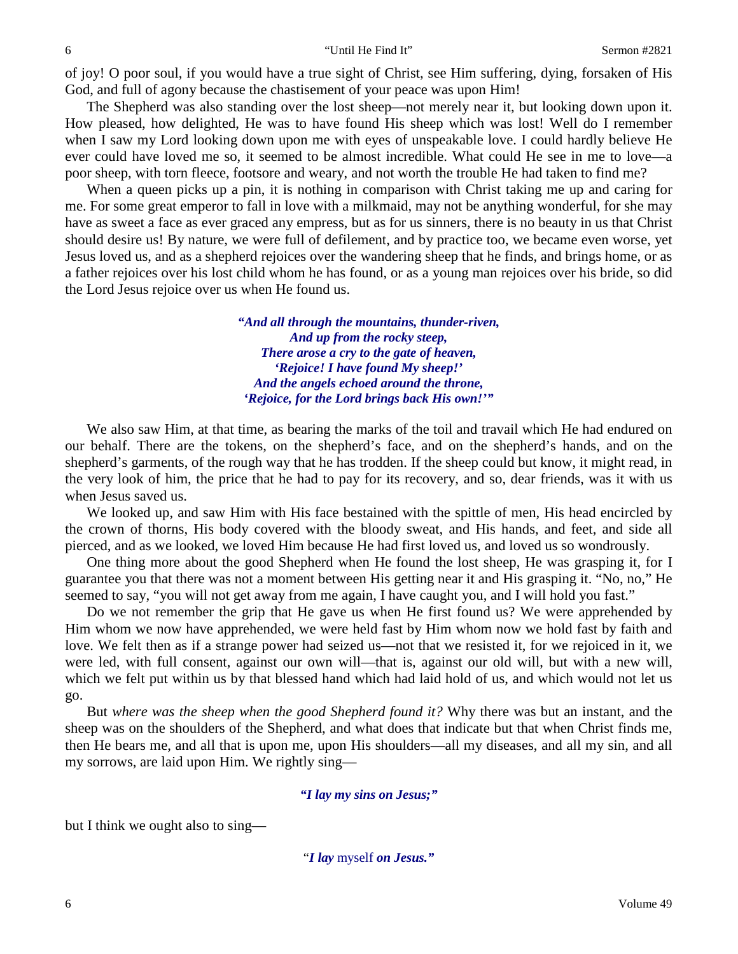of joy! O poor soul, if you would have a true sight of Christ, see Him suffering, dying, forsaken of His God, and full of agony because the chastisement of your peace was upon Him!

The Shepherd was also standing over the lost sheep—not merely near it, but looking down upon it. How pleased, how delighted, He was to have found His sheep which was lost! Well do I remember when I saw my Lord looking down upon me with eyes of unspeakable love. I could hardly believe He ever could have loved me so, it seemed to be almost incredible. What could He see in me to love—a poor sheep, with torn fleece, footsore and weary, and not worth the trouble He had taken to find me?

When a queen picks up a pin, it is nothing in comparison with Christ taking me up and caring for me. For some great emperor to fall in love with a milkmaid, may not be anything wonderful, for she may have as sweet a face as ever graced any empress, but as for us sinners, there is no beauty in us that Christ should desire us! By nature, we were full of defilement, and by practice too, we became even worse, yet Jesus loved us, and as a shepherd rejoices over the wandering sheep that he finds, and brings home, or as a father rejoices over his lost child whom he has found, or as a young man rejoices over his bride, so did the Lord Jesus rejoice over us when He found us.

> *"And all through the mountains, thunder-riven, And up from the rocky steep, There arose a cry to the gate of heaven, 'Rejoice! I have found My sheep!' And the angels echoed around the throne, 'Rejoice, for the Lord brings back His own!'"*

We also saw Him, at that time, as bearing the marks of the toil and travail which He had endured on our behalf. There are the tokens, on the shepherd's face, and on the shepherd's hands, and on the shepherd's garments, of the rough way that he has trodden. If the sheep could but know, it might read, in the very look of him, the price that he had to pay for its recovery, and so, dear friends, was it with us when Jesus saved us.

We looked up, and saw Him with His face bestained with the spittle of men, His head encircled by the crown of thorns, His body covered with the bloody sweat, and His hands, and feet, and side all pierced, and as we looked, we loved Him because He had first loved us, and loved us so wondrously.

One thing more about the good Shepherd when He found the lost sheep, He was grasping it, for I guarantee you that there was not a moment between His getting near it and His grasping it. "No, no," He seemed to say, "you will not get away from me again, I have caught you, and I will hold you fast."

Do we not remember the grip that He gave us when He first found us? We were apprehended by Him whom we now have apprehended, we were held fast by Him whom now we hold fast by faith and love. We felt then as if a strange power had seized us—not that we resisted it, for we rejoiced in it, we were led, with full consent, against our own will—that is, against our old will, but with a new will, which we felt put within us by that blessed hand which had laid hold of us, and which would not let us go.

But *where was the sheep when the good Shepherd found it?* Why there was but an instant, and the sheep was on the shoulders of the Shepherd, and what does that indicate but that when Christ finds me, then He bears me, and all that is upon me, upon His shoulders—all my diseases, and all my sin, and all my sorrows, are laid upon Him. We rightly sing—

#### *"I lay my sins on Jesus;"*

but I think we ought also to sing—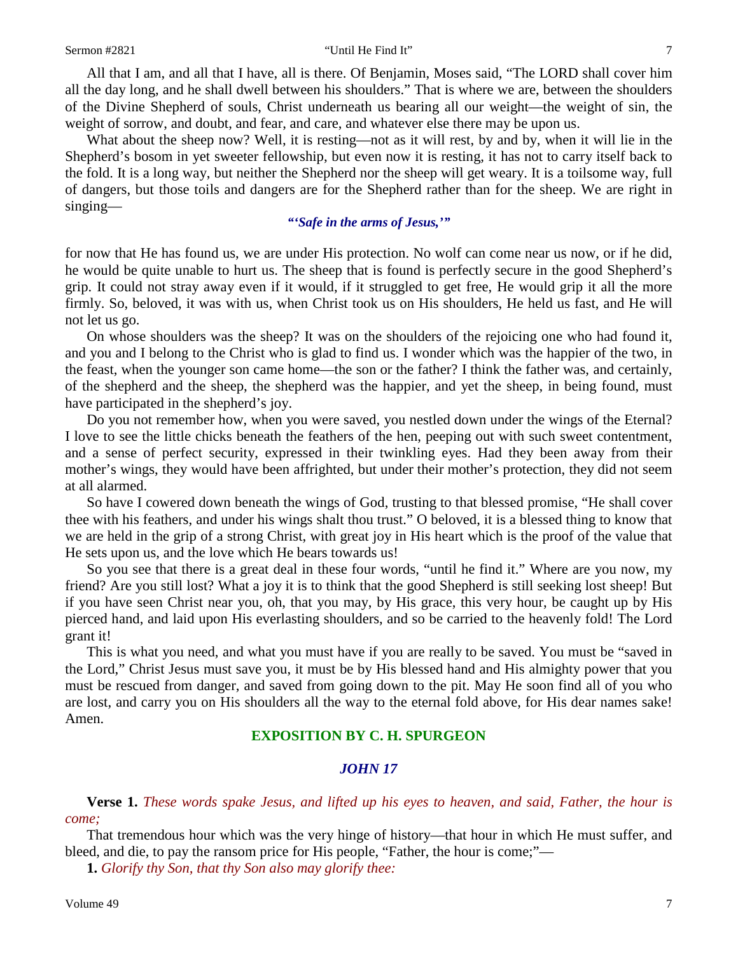#### Sermon #2821 "Until He Find It" 7

All that I am, and all that I have, all is there. Of Benjamin, Moses said, "The LORD shall cover him all the day long, and he shall dwell between his shoulders." That is where we are, between the shoulders of the Divine Shepherd of souls, Christ underneath us bearing all our weight—the weight of sin, the weight of sorrow, and doubt, and fear, and care, and whatever else there may be upon us.

What about the sheep now? Well, it is resting—not as it will rest, by and by, when it will lie in the Shepherd's bosom in yet sweeter fellowship, but even now it is resting, it has not to carry itself back to the fold. It is a long way, but neither the Shepherd nor the sheep will get weary. It is a toilsome way, full of dangers, but those toils and dangers are for the Shepherd rather than for the sheep. We are right in singing—

### *"'Safe in the arms of Jesus,'"*

for now that He has found us, we are under His protection. No wolf can come near us now, or if he did, he would be quite unable to hurt us. The sheep that is found is perfectly secure in the good Shepherd's grip. It could not stray away even if it would, if it struggled to get free, He would grip it all the more firmly. So, beloved, it was with us, when Christ took us on His shoulders, He held us fast, and He will not let us go.

On whose shoulders was the sheep? It was on the shoulders of the rejoicing one who had found it, and you and I belong to the Christ who is glad to find us. I wonder which was the happier of the two, in the feast, when the younger son came home—the son or the father? I think the father was, and certainly, of the shepherd and the sheep, the shepherd was the happier, and yet the sheep, in being found, must have participated in the shepherd's joy.

Do you not remember how, when you were saved, you nestled down under the wings of the Eternal? I love to see the little chicks beneath the feathers of the hen, peeping out with such sweet contentment, and a sense of perfect security, expressed in their twinkling eyes. Had they been away from their mother's wings, they would have been affrighted, but under their mother's protection, they did not seem at all alarmed.

So have I cowered down beneath the wings of God, trusting to that blessed promise, "He shall cover thee with his feathers, and under his wings shalt thou trust." O beloved, it is a blessed thing to know that we are held in the grip of a strong Christ, with great joy in His heart which is the proof of the value that He sets upon us, and the love which He bears towards us!

So you see that there is a great deal in these four words, "until he find it." Where are you now, my friend? Are you still lost? What a joy it is to think that the good Shepherd is still seeking lost sheep! But if you have seen Christ near you, oh, that you may, by His grace, this very hour, be caught up by His pierced hand, and laid upon His everlasting shoulders, and so be carried to the heavenly fold! The Lord grant it!

This is what you need, and what you must have if you are really to be saved. You must be "saved in the Lord," Christ Jesus must save you, it must be by His blessed hand and His almighty power that you must be rescued from danger, and saved from going down to the pit. May He soon find all of you who are lost, and carry you on His shoulders all the way to the eternal fold above, for His dear names sake! Amen.

# **EXPOSITION BY C. H. SPURGEON**

### *JOHN 17*

**Verse 1.** *These words spake Jesus, and lifted up his eyes to heaven, and said, Father, the hour is come;*

That tremendous hour which was the very hinge of history—that hour in which He must suffer, and bleed, and die, to pay the ransom price for His people, "Father, the hour is come;"—

**1.** *Glorify thy Son, that thy Son also may glorify thee:*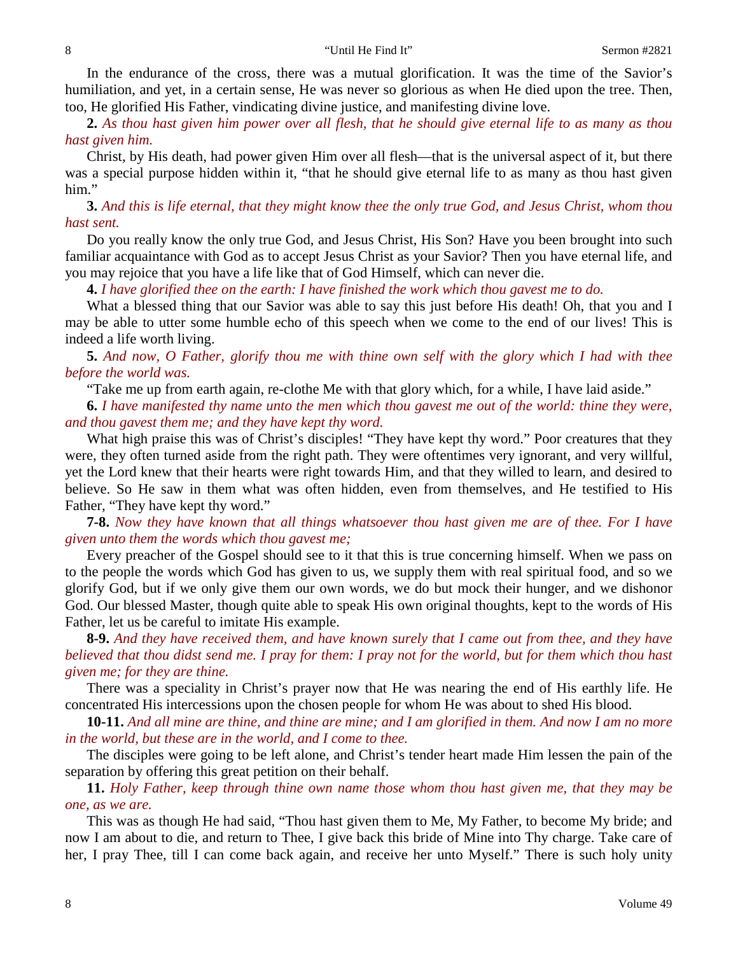In the endurance of the cross, there was a mutual glorification. It was the time of the Savior's humiliation, and yet, in a certain sense, He was never so glorious as when He died upon the tree. Then, too, He glorified His Father, vindicating divine justice, and manifesting divine love.

**2.** *As thou hast given him power over all flesh, that he should give eternal life to as many as thou hast given him.*

Christ, by His death, had power given Him over all flesh—that is the universal aspect of it, but there was a special purpose hidden within it, "that he should give eternal life to as many as thou hast given him."

**3.** *And this is life eternal, that they might know thee the only true God, and Jesus Christ, whom thou hast sent.*

Do you really know the only true God, and Jesus Christ, His Son? Have you been brought into such familiar acquaintance with God as to accept Jesus Christ as your Savior? Then you have eternal life, and you may rejoice that you have a life like that of God Himself, which can never die.

**4.** *I have glorified thee on the earth: I have finished the work which thou gavest me to do.*

What a blessed thing that our Savior was able to say this just before His death! Oh, that you and I may be able to utter some humble echo of this speech when we come to the end of our lives! This is indeed a life worth living.

**5.** *And now, O Father, glorify thou me with thine own self with the glory which I had with thee before the world was.*

"Take me up from earth again, re-clothe Me with that glory which, for a while, I have laid aside."

**6.** *I have manifested thy name unto the men which thou gavest me out of the world: thine they were, and thou gavest them me; and they have kept thy word.*

What high praise this was of Christ's disciples! "They have kept thy word." Poor creatures that they were, they often turned aside from the right path. They were oftentimes very ignorant, and very willful, yet the Lord knew that their hearts were right towards Him, and that they willed to learn, and desired to believe. So He saw in them what was often hidden, even from themselves, and He testified to His Father, "They have kept thy word."

**7-8.** *Now they have known that all things whatsoever thou hast given me are of thee. For I have given unto them the words which thou gavest me;*

Every preacher of the Gospel should see to it that this is true concerning himself. When we pass on to the people the words which God has given to us, we supply them with real spiritual food, and so we glorify God, but if we only give them our own words, we do but mock their hunger, and we dishonor God. Our blessed Master, though quite able to speak His own original thoughts, kept to the words of His Father, let us be careful to imitate His example.

**8-9.** *And they have received them, and have known surely that I came out from thee, and they have believed that thou didst send me. I pray for them: I pray not for the world, but for them which thou hast given me; for they are thine.*

There was a speciality in Christ's prayer now that He was nearing the end of His earthly life. He concentrated His intercessions upon the chosen people for whom He was about to shed His blood.

**10-11.** *And all mine are thine, and thine are mine; and I am glorified in them. And now I am no more in the world, but these are in the world, and I come to thee.*

The disciples were going to be left alone, and Christ's tender heart made Him lessen the pain of the separation by offering this great petition on their behalf.

**11.** *Holy Father, keep through thine own name those whom thou hast given me, that they may be one, as we are.*

This was as though He had said, "Thou hast given them to Me, My Father, to become My bride; and now I am about to die, and return to Thee, I give back this bride of Mine into Thy charge. Take care of her, I pray Thee, till I can come back again, and receive her unto Myself." There is such holy unity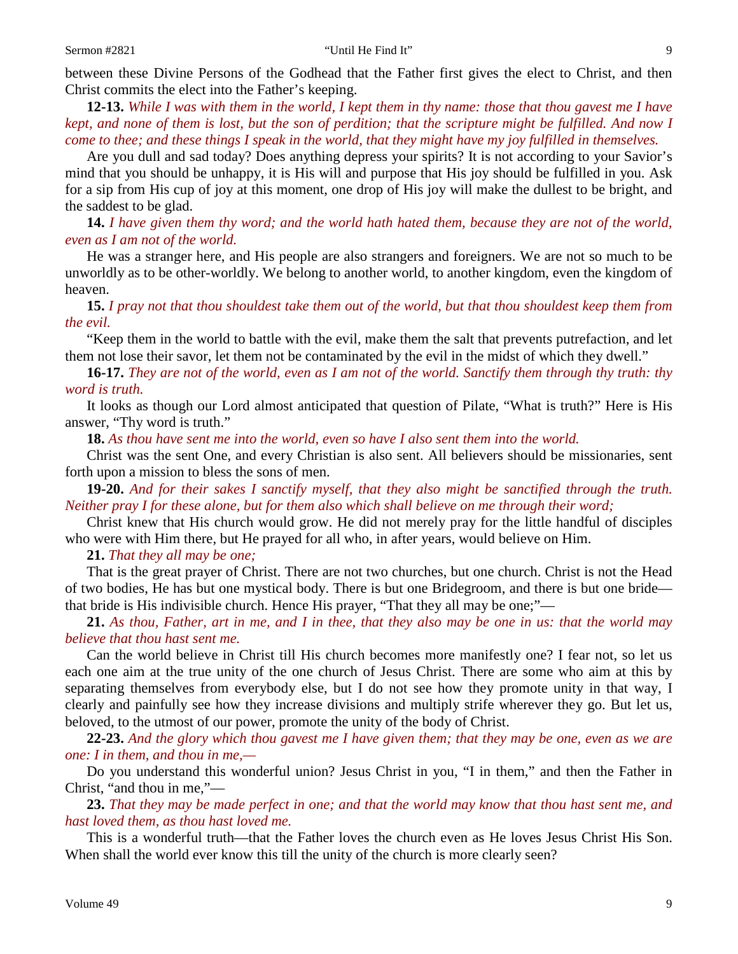between these Divine Persons of the Godhead that the Father first gives the elect to Christ, and then Christ commits the elect into the Father's keeping.

**12-13.** *While I was with them in the world, I kept them in thy name: those that thou gavest me I have kept, and none of them is lost, but the son of perdition; that the scripture might be fulfilled. And now I come to thee; and these things I speak in the world, that they might have my joy fulfilled in themselves.*

Are you dull and sad today? Does anything depress your spirits? It is not according to your Savior's mind that you should be unhappy, it is His will and purpose that His joy should be fulfilled in you. Ask for a sip from His cup of joy at this moment, one drop of His joy will make the dullest to be bright, and the saddest to be glad.

**14.** *I have given them thy word; and the world hath hated them, because they are not of the world, even as I am not of the world.*

He was a stranger here, and His people are also strangers and foreigners. We are not so much to be unworldly as to be other-worldly. We belong to another world, to another kingdom, even the kingdom of heaven.

**15.** *I pray not that thou shouldest take them out of the world, but that thou shouldest keep them from the evil.*

"Keep them in the world to battle with the evil, make them the salt that prevents putrefaction, and let them not lose their savor, let them not be contaminated by the evil in the midst of which they dwell."

**16-17.** *They are not of the world, even as I am not of the world. Sanctify them through thy truth: thy word is truth.*

It looks as though our Lord almost anticipated that question of Pilate, "What is truth?" Here is His answer, "Thy word is truth."

**18.** *As thou have sent me into the world, even so have I also sent them into the world.*

Christ was the sent One, and every Christian is also sent. All believers should be missionaries, sent forth upon a mission to bless the sons of men.

**19-20.** *And for their sakes I sanctify myself, that they also might be sanctified through the truth. Neither pray I for these alone, but for them also which shall believe on me through their word;*

Christ knew that His church would grow. He did not merely pray for the little handful of disciples who were with Him there, but He prayed for all who, in after years, would believe on Him.

**21.** *That they all may be one;*

That is the great prayer of Christ. There are not two churches, but one church. Christ is not the Head of two bodies, He has but one mystical body. There is but one Bridegroom, and there is but one bride that bride is His indivisible church. Hence His prayer, "That they all may be one;"—

**21.** *As thou, Father, art in me, and I in thee, that they also may be one in us: that the world may believe that thou hast sent me.*

Can the world believe in Christ till His church becomes more manifestly one? I fear not, so let us each one aim at the true unity of the one church of Jesus Christ. There are some who aim at this by separating themselves from everybody else, but I do not see how they promote unity in that way, I clearly and painfully see how they increase divisions and multiply strife wherever they go. But let us, beloved, to the utmost of our power, promote the unity of the body of Christ.

**22-23.** *And the glory which thou gavest me I have given them; that they may be one, even as we are one: I in them, and thou in me,—*

Do you understand this wonderful union? Jesus Christ in you, "I in them," and then the Father in Christ, "and thou in me,"—

**23.** *That they may be made perfect in one; and that the world may know that thou hast sent me, and hast loved them, as thou hast loved me.* 

This is a wonderful truth—that the Father loves the church even as He loves Jesus Christ His Son. When shall the world ever know this till the unity of the church is more clearly seen?